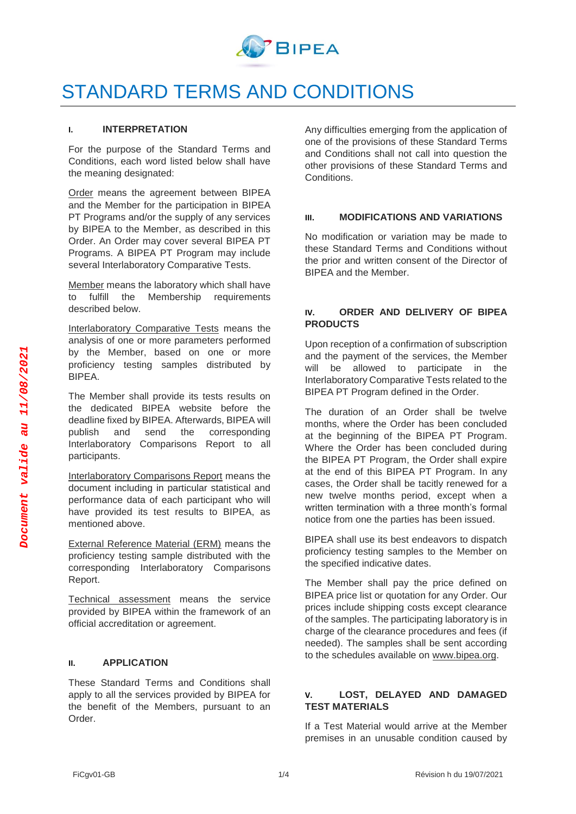

# STANDARD TERMS AND CONDITIONS

#### **I. INTERPRETATION**

For the purpose of the Standard Terms and Conditions, each word listed below shall have the meaning designated:

Order means the agreement between BIPEA and the Member for the participation in BIPEA PT Programs and/or the supply of any services by BIPEA to the Member, as described in this Order. An Order may cover several BIPEA PT Programs. A BIPEA PT Program may include several Interlaboratory Comparative Tests.

Member means the laboratory which shall have to fulfill the Membership requirements described below.

Interlaboratory Comparative Tests means the analysis of one or more parameters performed by the Member, based on one or more proficiency testing samples distributed by BIPEA.

The Member shall provide its tests results on the dedicated BIPEA website before the deadline fixed by BIPEA. Afterwards, BIPEA will publish and send the corresponding Interlaboratory Comparisons Report to all participants.

Interlaboratory Comparisons Report means the document including in particular statistical and performance data of each participant who will have provided its test results to BIPEA, as mentioned above.

External Reference Material (ERM) means the proficiency testing sample distributed with the corresponding Interlaboratory Comparisons Report.

Technical assessment means the service provided by BIPEA within the framework of an official accreditation or agreement.

#### **II. APPLICATION**

These Standard Terms and Conditions shall apply to all the services provided by BIPEA for the benefit of the Members, pursuant to an Order.

Any difficulties emerging from the application of one of the provisions of these Standard Terms and Conditions shall not call into question the other provisions of these Standard Terms and Conditions.

## **III. MODIFICATIONS AND VARIATIONS**

No modification or variation may be made to these Standard Terms and Conditions without the prior and written consent of the Director of BIPEA and the Member.

## **IV. ORDER AND DELIVERY OF BIPEA PRODUCTS**

Upon reception of a confirmation of subscription and the payment of the services, the Member will be allowed to participate in the Interlaboratory Comparative Tests related to the BIPEA PT Program defined in the Order.

The duration of an Order shall be twelve months, where the Order has been concluded at the beginning of the BIPEA PT Program. Where the Order has been concluded during the BIPEA PT Program, the Order shall expire at the end of this BIPEA PT Program. In any cases, the Order shall be tacitly renewed for a new twelve months period, except when a written termination with a three month's formal notice from one the parties has been issued.

BIPEA shall use its best endeavors to dispatch proficiency testing samples to the Member on the specified indicative dates.

The Member shall pay the price defined on BIPEA price list or quotation for any Order. Our prices include shipping costs except clearance of the samples. The participating laboratory is in charge of the clearance procedures and fees (if needed). The samples shall be sent according to the schedules available on [www.bipea.org.](http://www.bipea.org/)

## **V. LOST, DELAYED AND DAMAGED TEST MATERIALS**

If a Test Material would arrive at the Member premises in an unusable condition caused by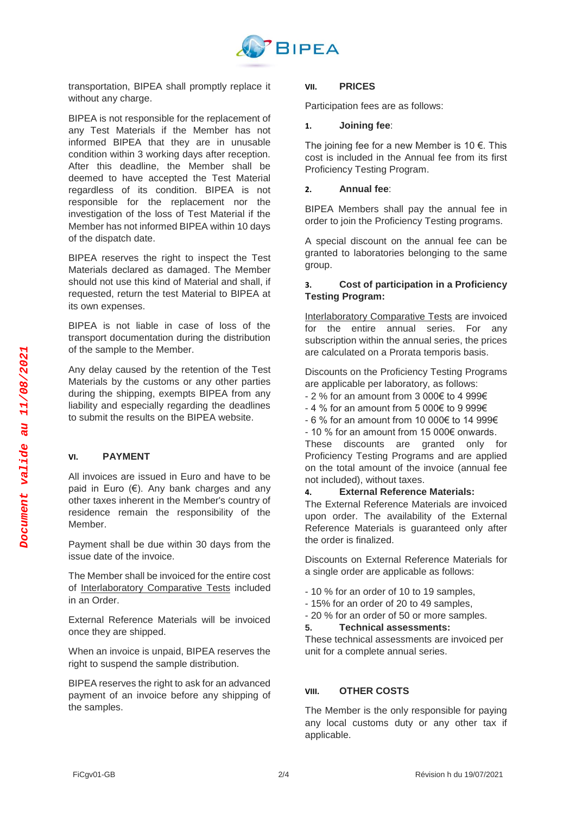

transportation, BIPEA shall promptly replace it without any charge.

BIPEA is not responsible for the replacement of any Test Materials if the Member has not informed BIPEA that they are in unusable condition within 3 working days after reception. After this deadline, the Member shall be deemed to have accepted the Test Material regardless of its condition. BIPEA is not responsible for the replacement nor the investigation of the loss of Test Material if the Member has not informed BIPEA within 10 days of the dispatch date.

BIPEA reserves the right to inspect the Test Materials declared as damaged. The Member should not use this kind of Material and shall, if requested, return the test Material to BIPEA at its own expenses.

BIPEA is not liable in case of loss of the transport documentation during the distribution of the sample to the Member.

Any delay caused by the retention of the Test Materials by the customs or any other parties during the shipping, exempts BIPEA from any liability and especially regarding the deadlines to submit the results on the BIPEA website.

## **VI. PAYMENT**

All invoices are issued in Euro and have to be paid in Euro (€). Any bank charges and any other taxes inherent in the Member's country of residence remain the responsibility of the Member.

Payment shall be due within 30 days from the issue date of the invoice.

The Member shall be invoiced for the entire cost of Interlaboratory Comparative Tests included in an Order.

External Reference Materials will be invoiced once they are shipped.

When an invoice is unpaid, BIPEA reserves the right to suspend the sample distribution.

BIPEA reserves the right to ask for an advanced payment of an invoice before any shipping of the samples.

#### **VII. PRICES**

Participation fees are as follows:

#### **1. Joining fee**:

The joining fee for a new Member is 10  $\epsilon$ . This cost is included in the Annual fee from its first Proficiency Testing Program.

#### **2. Annual fee**:

BIPEA Members shall pay the annual fee in order to join the Proficiency Testing programs.

A special discount on the annual fee can be granted to laboratories belonging to the same group.

## **3. Cost of participation in a Proficiency Testing Program:**

Interlaboratory Comparative Tests are invoiced for the entire annual series. For any subscription within the annual series, the prices are calculated on a Prorata temporis basis.

Discounts on the Proficiency Testing Programs are applicable per laboratory, as follows:

- 2 % for an amount from 3 000€ to 4 999€
- 4 % for an amount from 5 000€ to 9 999€
- 6 % for an amount from 10 000€ to 14 999€
- 10 % for an amount from 15 000€ onwards.

These discounts are granted only for Proficiency Testing Programs and are applied on the total amount of the invoice (annual fee not included), without taxes.

### **4. External Reference Materials:**

The External Reference Materials are invoiced upon order. The availability of the External Reference Materials is guaranteed only after the order is finalized.

Discounts on External Reference Materials for a single order are applicable as follows:

- 10 % for an order of 10 to 19 samples,
- 15% for an order of 20 to 49 samples,
- 20 % for an order of 50 or more samples.

#### **5. Technical assessments:**

These technical assessments are invoiced per unit for a complete annual series.

#### **VIII. OTHER COSTS**

The Member is the only responsible for paying any local customs duty or any other tax if applicable.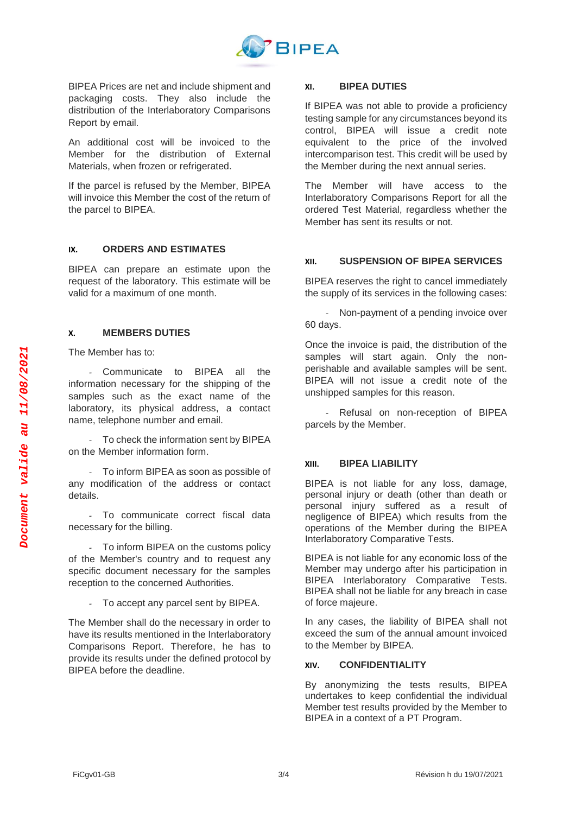

BIPEA Prices are net and include shipment and packaging costs. They also include the distribution of the Interlaboratory Comparisons Report by email.

An additional cost will be invoiced to the Member for the distribution of External Materials, when frozen or refrigerated.

If the parcel is refused by the Member, BIPEA will invoice this Member the cost of the return of the parcel to BIPEA.

## **IX. ORDERS AND ESTIMATES**

BIPEA can prepare an estimate upon the request of the laboratory. This estimate will be valid for a maximum of one month.

## **X. MEMBERS DUTIES**

The Member has to:

- Communicate to BIPEA all the information necessary for the shipping of the samples such as the exact name of the laboratory, its physical address, a contact name, telephone number and email.

- To check the information sent by BIPEA on the Member information form.

- To inform BIPEA as soon as possible of any modification of the address or contact details.

- To communicate correct fiscal data necessary for the billing.

- To inform BIPEA on the customs policy of the Member's country and to request any specific document necessary for the samples reception to the concerned Authorities.

- To accept any parcel sent by BIPEA.

The Member shall do the necessary in order to have its results mentioned in the Interlaboratory Comparisons Report. Therefore, he has to provide its results under the defined protocol by BIPEA before the deadline.

### **XI. BIPEA DUTIES**

If BIPEA was not able to provide a proficiency testing sample for any circumstances beyond its control, BIPEA will issue a credit note equivalent to the price of the involved intercomparison test. This credit will be used by the Member during the next annual series.

The Member will have access to the Interlaboratory Comparisons Report for all the ordered Test Material, regardless whether the Member has sent its results or not.

## **XII. SUSPENSION OF BIPEA SERVICES**

BIPEA reserves the right to cancel immediately the supply of its services in the following cases:

- Non-payment of a pending invoice over 60 days.

Once the invoice is paid, the distribution of the samples will start again. Only the nonperishable and available samples will be sent. BIPEA will not issue a credit note of the unshipped samples for this reason.

- Refusal on non-reception of BIPEA parcels by the Member.

## **XIII. BIPEA LIABILITY**

BIPEA is not liable for any loss, damage, personal injury or death (other than death or personal injury suffered as a result of negligence of BIPEA) which results from the operations of the Member during the BIPEA Interlaboratory Comparative Tests.

BIPEA is not liable for any economic loss of the Member may undergo after his participation in BIPEA Interlaboratory Comparative Tests. BIPEA shall not be liable for any breach in case of force majeure.

In any cases, the liability of BIPEA shall not exceed the sum of the annual amount invoiced to the Member by BIPEA.

## **XIV. CONFIDENTIALITY**

By anonymizing the tests results, BIPEA undertakes to keep confidential the individual Member test results provided by the Member to BIPEA in a context of a PT Program.